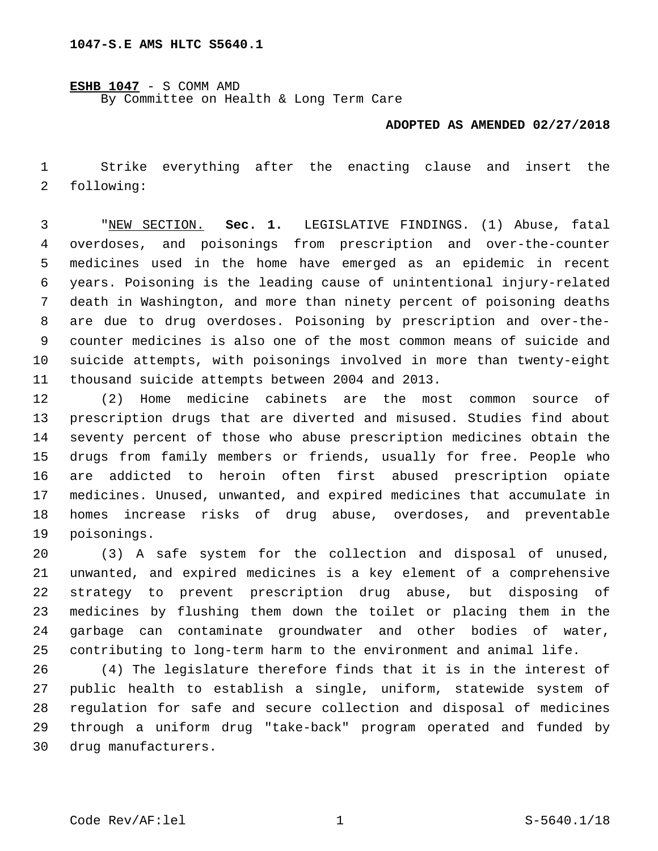**ESHB 1047** - S COMM AMD

By Committee on Health & Long Term Care

## **ADOPTED AS AMENDED 02/27/2018**

 Strike everything after the enacting clause and insert the 2 following:

 "NEW SECTION. **Sec. 1.** LEGISLATIVE FINDINGS. (1) Abuse, fatal overdoses, and poisonings from prescription and over-the-counter medicines used in the home have emerged as an epidemic in recent years. Poisoning is the leading cause of unintentional injury-related death in Washington, and more than ninety percent of poisoning deaths are due to drug overdoses. Poisoning by prescription and over-the- counter medicines is also one of the most common means of suicide and suicide attempts, with poisonings involved in more than twenty-eight thousand suicide attempts between 2004 and 2013.

 (2) Home medicine cabinets are the most common source of prescription drugs that are diverted and misused. Studies find about seventy percent of those who abuse prescription medicines obtain the drugs from family members or friends, usually for free. People who are addicted to heroin often first abused prescription opiate medicines. Unused, unwanted, and expired medicines that accumulate in homes increase risks of drug abuse, overdoses, and preventable 19 poisonings.

 (3) A safe system for the collection and disposal of unused, unwanted, and expired medicines is a key element of a comprehensive strategy to prevent prescription drug abuse, but disposing of medicines by flushing them down the toilet or placing them in the garbage can contaminate groundwater and other bodies of water, contributing to long-term harm to the environment and animal life.

 (4) The legislature therefore finds that it is in the interest of public health to establish a single, uniform, statewide system of regulation for safe and secure collection and disposal of medicines through a uniform drug "take-back" program operated and funded by drug manufacturers.30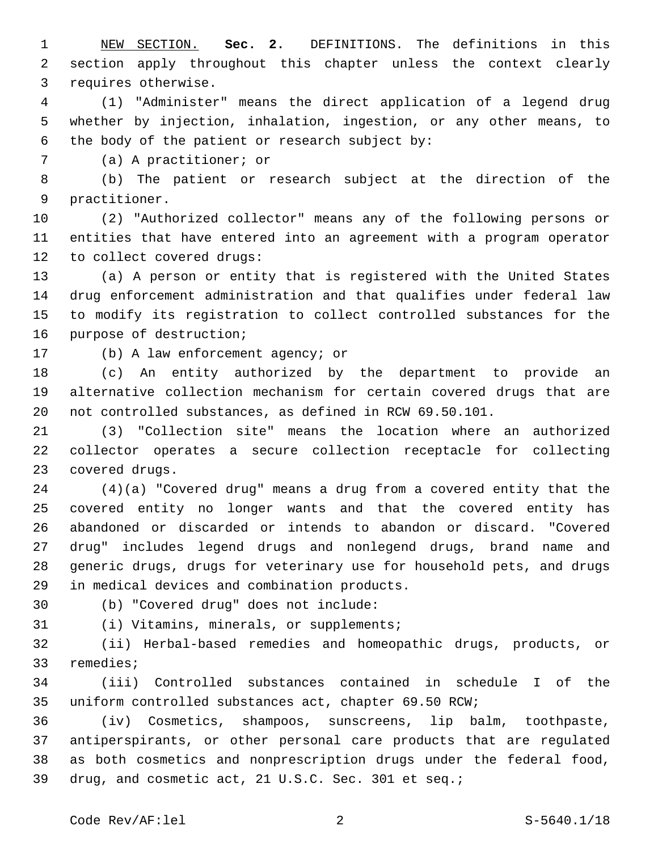NEW SECTION. **Sec. 2.** DEFINITIONS. The definitions in this section apply throughout this chapter unless the context clearly requires otherwise.

 (1) "Administer" means the direct application of a legend drug whether by injection, inhalation, ingestion, or any other means, to 6 the body of the patient or research subject by:

7 (a) A practitioner; or

 (b) The patient or research subject at the direction of the 9 practitioner.

 (2) "Authorized collector" means any of the following persons or entities that have entered into an agreement with a program operator 12 to collect covered drugs:

 (a) A person or entity that is registered with the United States drug enforcement administration and that qualifies under federal law to modify its registration to collect controlled substances for the 16 purpose of destruction;

17 (b) A law enforcement agency; or

 (c) An entity authorized by the department to provide an alternative collection mechanism for certain covered drugs that are not controlled substances, as defined in RCW 69.50.101.

 (3) "Collection site" means the location where an authorized collector operates a secure collection receptacle for collecting 23 covered drugs.

 (4)(a) "Covered drug" means a drug from a covered entity that the covered entity no longer wants and that the covered entity has abandoned or discarded or intends to abandon or discard. "Covered drug" includes legend drugs and nonlegend drugs, brand name and generic drugs, drugs for veterinary use for household pets, and drugs 29 in medical devices and combination products.

(b) "Covered drug" does not include:30

31 (i) Vitamins, minerals, or supplements;

 (ii) Herbal-based remedies and homeopathic drugs, products, or 33 remedies;

 (iii) Controlled substances contained in schedule I of the uniform controlled substances act, chapter 69.50 RCW;

 (iv) Cosmetics, shampoos, sunscreens, lip balm, toothpaste, antiperspirants, or other personal care products that are regulated as both cosmetics and nonprescription drugs under the federal food, drug, and cosmetic act, 21 U.S.C. Sec. 301 et seq.;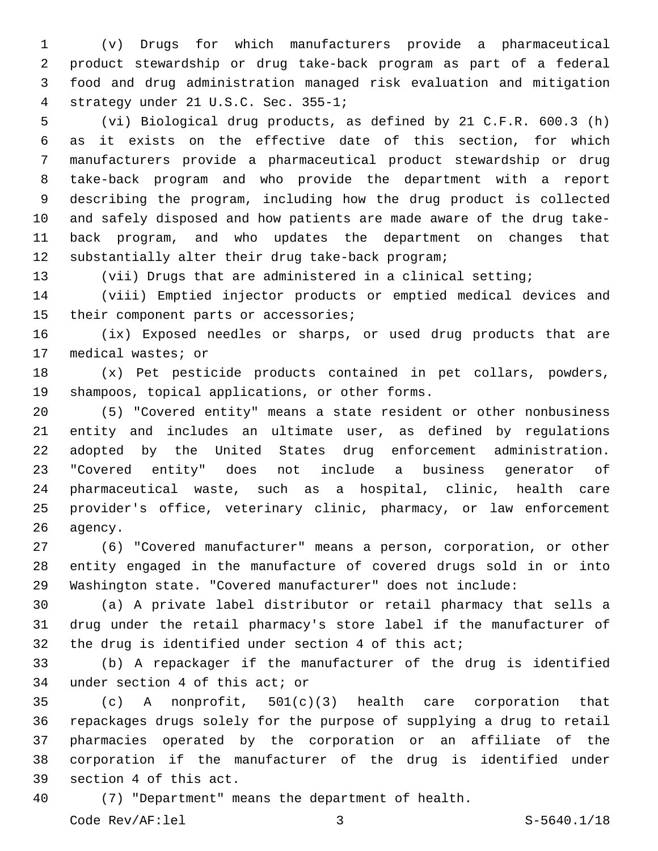(v) Drugs for which manufacturers provide a pharmaceutical product stewardship or drug take-back program as part of a federal food and drug administration managed risk evaluation and mitigation strategy under 21 U.S.C. Sec. 355-1;4

 (vi) Biological drug products, as defined by 21 C.F.R. 600.3 (h) as it exists on the effective date of this section, for which manufacturers provide a pharmaceutical product stewardship or drug take-back program and who provide the department with a report describing the program, including how the drug product is collected and safely disposed and how patients are made aware of the drug take- back program, and who updates the department on changes that 12 substantially alter their drug take-back program;

(vii) Drugs that are administered in a clinical setting;

 (viii) Emptied injector products or emptied medical devices and 15 their component parts or accessories;

 (ix) Exposed needles or sharps, or used drug products that are 17 medical wastes; or

 (x) Pet pesticide products contained in pet collars, powders, 19 shampoos, topical applications, or other forms.

 (5) "Covered entity" means a state resident or other nonbusiness entity and includes an ultimate user, as defined by regulations adopted by the United States drug enforcement administration. "Covered entity" does not include a business generator of pharmaceutical waste, such as a hospital, clinic, health care provider's office, veterinary clinic, pharmacy, or law enforcement 26 agency.

 (6) "Covered manufacturer" means a person, corporation, or other entity engaged in the manufacture of covered drugs sold in or into Washington state. "Covered manufacturer" does not include:

 (a) A private label distributor or retail pharmacy that sells a drug under the retail pharmacy's store label if the manufacturer of the drug is identified under section 4 of this act;

 (b) A repackager if the manufacturer of the drug is identified 34 under section 4 of this act; or

 (c) A nonprofit, 501(c)(3) health care corporation that repackages drugs solely for the purpose of supplying a drug to retail pharmacies operated by the corporation or an affiliate of the corporation if the manufacturer of the drug is identified under 39 section 4 of this act.

(7) "Department" means the department of health.

Code Rev/AF:lel 3 S-5640.1/18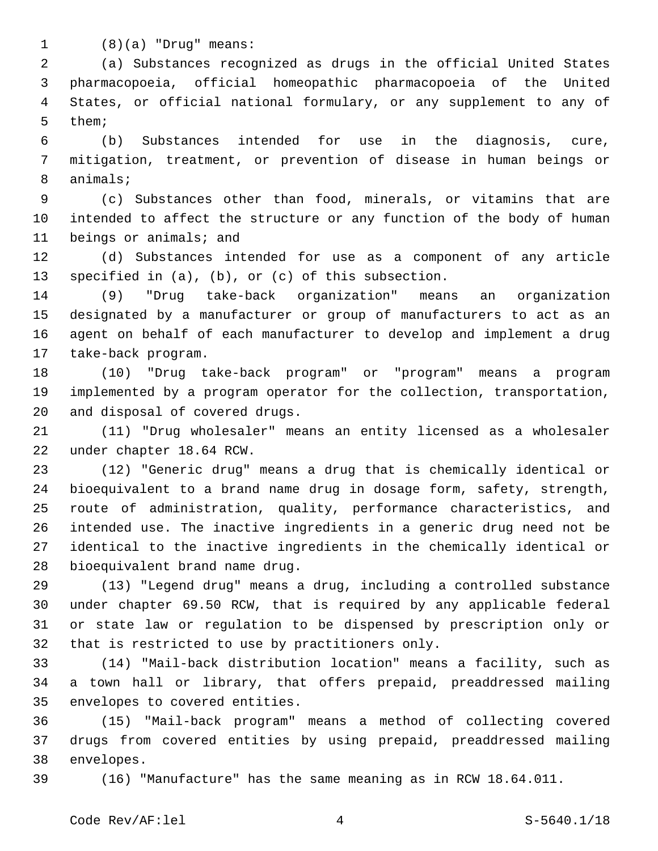(8)(a) "Drug" means:

 (a) Substances recognized as drugs in the official United States pharmacopoeia, official homeopathic pharmacopoeia of the United States, or official national formulary, or any supplement to any of 5 them;

 (b) Substances intended for use in the diagnosis, cure, mitigation, treatment, or prevention of disease in human beings or 8 animals;

 (c) Substances other than food, minerals, or vitamins that are intended to affect the structure or any function of the body of human 11 beings or animals; and

 (d) Substances intended for use as a component of any article 13 specified in  $(a)$ ,  $(b)$ , or  $(c)$  of this subsection.

 (9) "Drug take-back organization" means an organization designated by a manufacturer or group of manufacturers to act as an agent on behalf of each manufacturer to develop and implement a drug 17 take-back program.

 (10) "Drug take-back program" or "program" means a program implemented by a program operator for the collection, transportation, 20 and disposal of covered drugs.

 (11) "Drug wholesaler" means an entity licensed as a wholesaler 22 under chapter 18.64 RCW.

 (12) "Generic drug" means a drug that is chemically identical or bioequivalent to a brand name drug in dosage form, safety, strength, route of administration, quality, performance characteristics, and intended use. The inactive ingredients in a generic drug need not be identical to the inactive ingredients in the chemically identical or 28 bioequivalent brand name drug.

 (13) "Legend drug" means a drug, including a controlled substance under chapter 69.50 RCW, that is required by any applicable federal or state law or regulation to be dispensed by prescription only or 32 that is restricted to use by practitioners only.

 (14) "Mail-back distribution location" means a facility, such as a town hall or library, that offers prepaid, preaddressed mailing 35 envelopes to covered entities.

 (15) "Mail-back program" means a method of collecting covered drugs from covered entities by using prepaid, preaddressed mailing 38 envelopes.

(16) "Manufacture" has the same meaning as in RCW 18.64.011.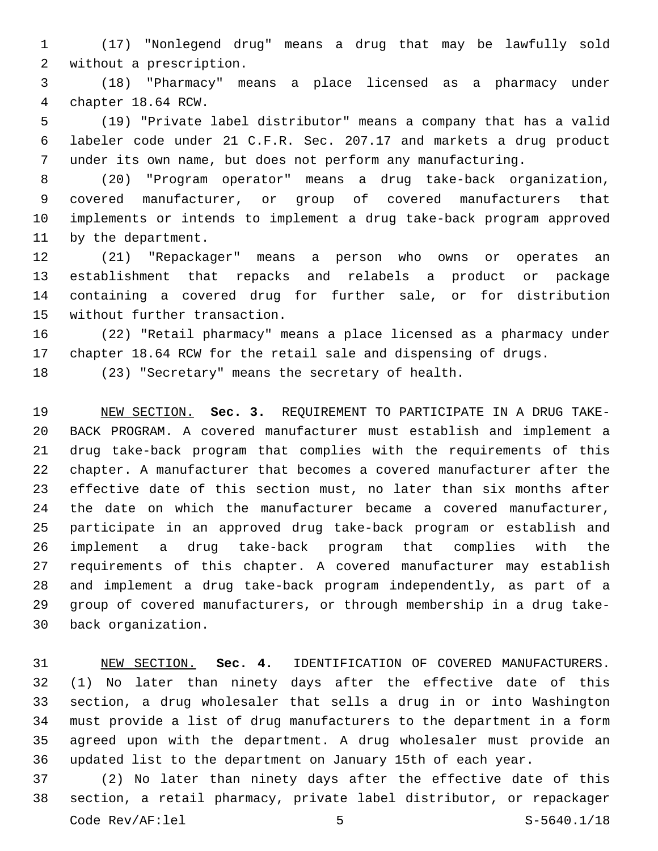(17) "Nonlegend drug" means a drug that may be lawfully sold 2 without a prescription.

 (18) "Pharmacy" means a place licensed as a pharmacy under 4 chapter 18.64 RCW.

 (19) "Private label distributor" means a company that has a valid labeler code under 21 C.F.R. Sec. 207.17 and markets a drug product under its own name, but does not perform any manufacturing.

 (20) "Program operator" means a drug take-back organization, covered manufacturer, or group of covered manufacturers that implements or intends to implement a drug take-back program approved 11 by the department.

 (21) "Repackager" means a person who owns or operates an establishment that repacks and relabels a product or package containing a covered drug for further sale, or for distribution 15 without further transaction.

 (22) "Retail pharmacy" means a place licensed as a pharmacy under chapter 18.64 RCW for the retail sale and dispensing of drugs.

(23) "Secretary" means the secretary of health.

 NEW SECTION. **Sec. 3.** REQUIREMENT TO PARTICIPATE IN A DRUG TAKE- BACK PROGRAM. A covered manufacturer must establish and implement a drug take-back program that complies with the requirements of this chapter. A manufacturer that becomes a covered manufacturer after the effective date of this section must, no later than six months after the date on which the manufacturer became a covered manufacturer, participate in an approved drug take-back program or establish and implement a drug take-back program that complies with the requirements of this chapter. A covered manufacturer may establish and implement a drug take-back program independently, as part of a group of covered manufacturers, or through membership in a drug take-back organization.

 NEW SECTION. **Sec. 4.** IDENTIFICATION OF COVERED MANUFACTURERS. (1) No later than ninety days after the effective date of this section, a drug wholesaler that sells a drug in or into Washington must provide a list of drug manufacturers to the department in a form agreed upon with the department. A drug wholesaler must provide an updated list to the department on January 15th of each year.

 (2) No later than ninety days after the effective date of this section, a retail pharmacy, private label distributor, or repackager Code Rev/AF: lel 5 5 5 5 5 5 5 5 5 5 5 5 5 5 5 5 5 6 4 6  $s - 5640.1/18$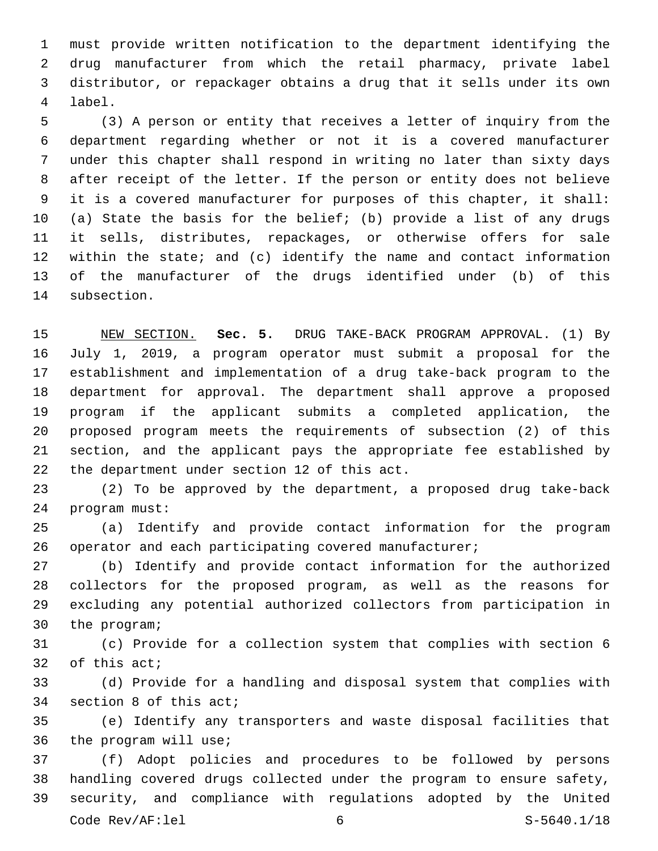must provide written notification to the department identifying the drug manufacturer from which the retail pharmacy, private label distributor, or repackager obtains a drug that it sells under its own label.4

 (3) A person or entity that receives a letter of inquiry from the department regarding whether or not it is a covered manufacturer under this chapter shall respond in writing no later than sixty days after receipt of the letter. If the person or entity does not believe it is a covered manufacturer for purposes of this chapter, it shall: (a) State the basis for the belief; (b) provide a list of any drugs it sells, distributes, repackages, or otherwise offers for sale within the state; and (c) identify the name and contact information of the manufacturer of the drugs identified under (b) of this 14 subsection.

 NEW SECTION. **Sec. 5.** DRUG TAKE-BACK PROGRAM APPROVAL. (1) By July 1, 2019, a program operator must submit a proposal for the establishment and implementation of a drug take-back program to the department for approval. The department shall approve a proposed program if the applicant submits a completed application, the proposed program meets the requirements of subsection (2) of this section, and the applicant pays the appropriate fee established by the department under section 12 of this act.

 (2) To be approved by the department, a proposed drug take-back 24 program must:

 (a) Identify and provide contact information for the program operator and each participating covered manufacturer;

 (b) Identify and provide contact information for the authorized collectors for the proposed program, as well as the reasons for excluding any potential authorized collectors from participation in 30 the program;

 (c) Provide for a collection system that complies with section 6 of this act;

 (d) Provide for a handling and disposal system that complies with 34 section 8 of this act;

 (e) Identify any transporters and waste disposal facilities that 36 the program will use;

 (f) Adopt policies and procedures to be followed by persons handling covered drugs collected under the program to ensure safety, security, and compliance with regulations adopted by the United Code Rev/AF:lel 6 S-5640.1/18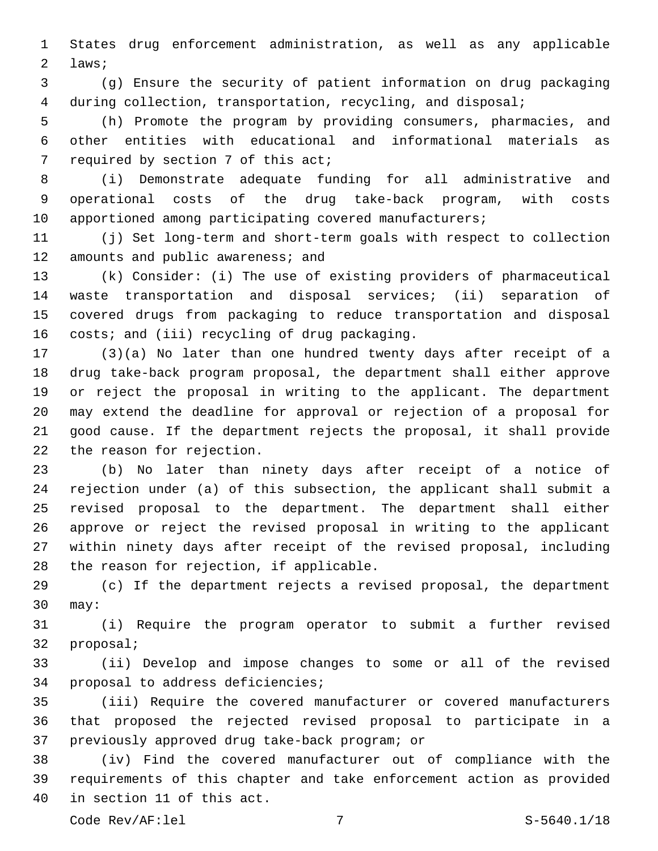States drug enforcement administration, as well as any applicable 2 laws;

 (g) Ensure the security of patient information on drug packaging during collection, transportation, recycling, and disposal;

 (h) Promote the program by providing consumers, pharmacies, and other entities with educational and informational materials as 7 required by section 7 of this act;

 (i) Demonstrate adequate funding for all administrative and operational costs of the drug take-back program, with costs apportioned among participating covered manufacturers;

 (j) Set long-term and short-term goals with respect to collection 12 amounts and public awareness; and

 (k) Consider: (i) The use of existing providers of pharmaceutical waste transportation and disposal services; (ii) separation of covered drugs from packaging to reduce transportation and disposal 16 costs; and (iii) recycling of drug packaging.

 (3)(a) No later than one hundred twenty days after receipt of a drug take-back program proposal, the department shall either approve or reject the proposal in writing to the applicant. The department may extend the deadline for approval or rejection of a proposal for good cause. If the department rejects the proposal, it shall provide 22 the reason for rejection.

 (b) No later than ninety days after receipt of a notice of rejection under (a) of this subsection, the applicant shall submit a revised proposal to the department. The department shall either approve or reject the revised proposal in writing to the applicant within ninety days after receipt of the revised proposal, including 28 the reason for rejection, if applicable.

 (c) If the department rejects a revised proposal, the department 30 may:

 (i) Require the program operator to submit a further revised 32 proposal;

 (ii) Develop and impose changes to some or all of the revised 34 proposal to address deficiencies;

 (iii) Require the covered manufacturer or covered manufacturers that proposed the rejected revised proposal to participate in a 37 previously approved drug take-back program; or

 (iv) Find the covered manufacturer out of compliance with the requirements of this chapter and take enforcement action as provided 40 in section 11 of this act.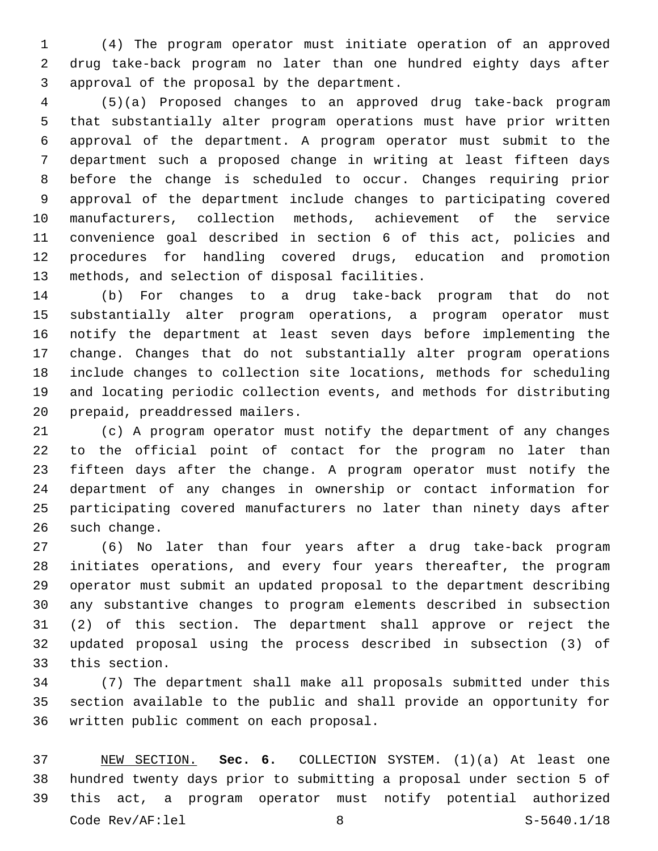(4) The program operator must initiate operation of an approved drug take-back program no later than one hundred eighty days after 3 approval of the proposal by the department.

 (5)(a) Proposed changes to an approved drug take-back program that substantially alter program operations must have prior written approval of the department. A program operator must submit to the department such a proposed change in writing at least fifteen days before the change is scheduled to occur. Changes requiring prior approval of the department include changes to participating covered manufacturers, collection methods, achievement of the service convenience goal described in section 6 of this act, policies and procedures for handling covered drugs, education and promotion 13 methods, and selection of disposal facilities.

 (b) For changes to a drug take-back program that do not substantially alter program operations, a program operator must notify the department at least seven days before implementing the change. Changes that do not substantially alter program operations include changes to collection site locations, methods for scheduling and locating periodic collection events, and methods for distributing 20 prepaid, preaddressed mailers.

 (c) A program operator must notify the department of any changes to the official point of contact for the program no later than fifteen days after the change. A program operator must notify the department of any changes in ownership or contact information for participating covered manufacturers no later than ninety days after 26 such change.

 (6) No later than four years after a drug take-back program initiates operations, and every four years thereafter, the program operator must submit an updated proposal to the department describing any substantive changes to program elements described in subsection (2) of this section. The department shall approve or reject the updated proposal using the process described in subsection (3) of 33 this section.

 (7) The department shall make all proposals submitted under this section available to the public and shall provide an opportunity for 36 written public comment on each proposal.

 NEW SECTION. **Sec. 6.** COLLECTION SYSTEM. (1)(a) At least one hundred twenty days prior to submitting a proposal under section 5 of this act, a program operator must notify potential authorized Code Rev/AF:lel 8 S-5640.1/18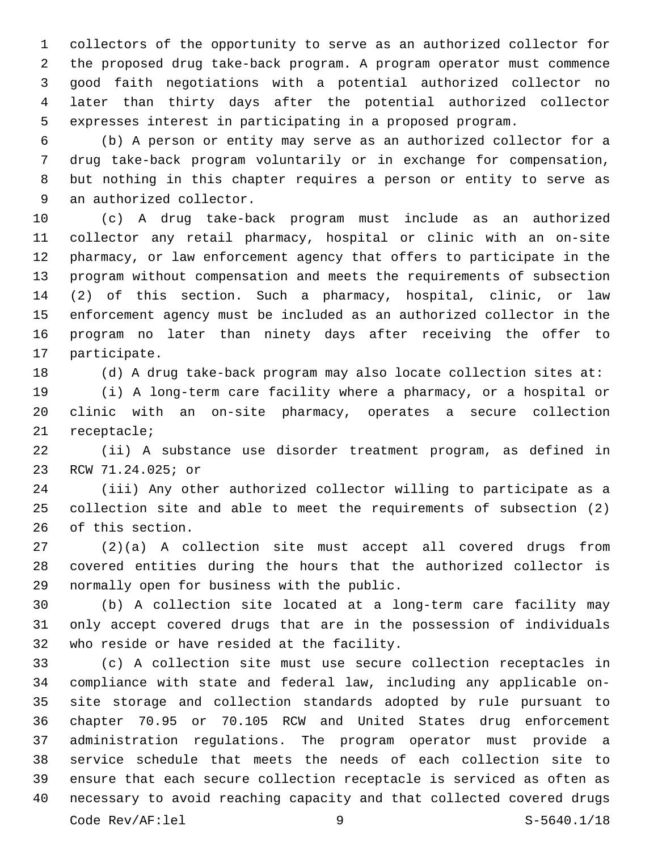collectors of the opportunity to serve as an authorized collector for the proposed drug take-back program. A program operator must commence good faith negotiations with a potential authorized collector no later than thirty days after the potential authorized collector expresses interest in participating in a proposed program.

 (b) A person or entity may serve as an authorized collector for a drug take-back program voluntarily or in exchange for compensation, but nothing in this chapter requires a person or entity to serve as 9 an authorized collector.

 (c) A drug take-back program must include as an authorized collector any retail pharmacy, hospital or clinic with an on-site pharmacy, or law enforcement agency that offers to participate in the program without compensation and meets the requirements of subsection (2) of this section. Such a pharmacy, hospital, clinic, or law enforcement agency must be included as an authorized collector in the program no later than ninety days after receiving the offer to 17 participate.

(d) A drug take-back program may also locate collection sites at:

 (i) A long-term care facility where a pharmacy, or a hospital or clinic with an on-site pharmacy, operates a secure collection 21 receptacle;

 (ii) A substance use disorder treatment program, as defined in 23 RCW 71.24.025; or

 (iii) Any other authorized collector willing to participate as a collection site and able to meet the requirements of subsection (2) 26 of this section.

 (2)(a) A collection site must accept all covered drugs from covered entities during the hours that the authorized collector is 29 normally open for business with the public.

 (b) A collection site located at a long-term care facility may only accept covered drugs that are in the possession of individuals 32 who reside or have resided at the facility.

 (c) A collection site must use secure collection receptacles in compliance with state and federal law, including any applicable on- site storage and collection standards adopted by rule pursuant to chapter 70.95 or 70.105 RCW and United States drug enforcement administration regulations. The program operator must provide a service schedule that meets the needs of each collection site to ensure that each secure collection receptacle is serviced as often as necessary to avoid reaching capacity and that collected covered drugs Code Rev/AF:lel 9 S-5640.1/18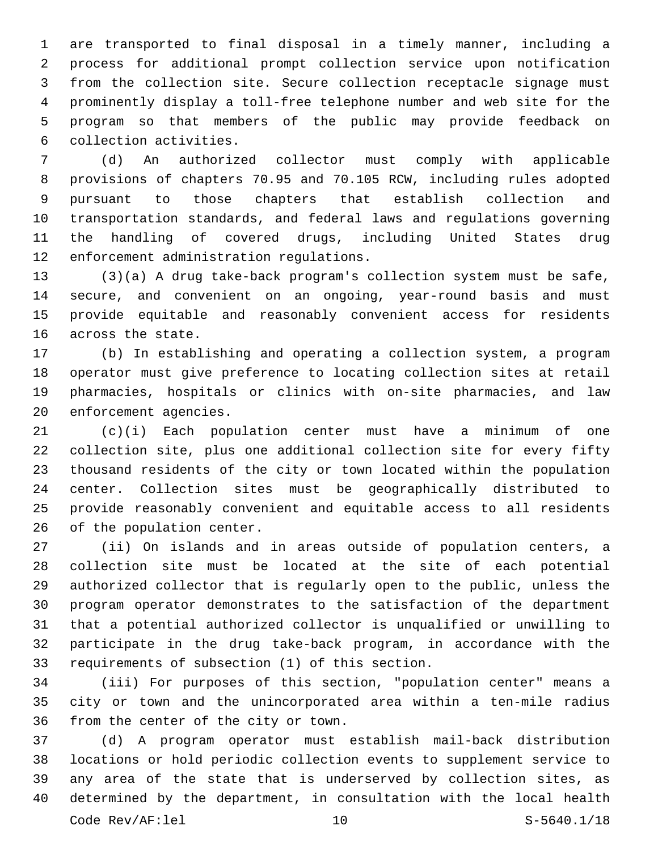are transported to final disposal in a timely manner, including a process for additional prompt collection service upon notification from the collection site. Secure collection receptacle signage must prominently display a toll-free telephone number and web site for the program so that members of the public may provide feedback on collection activities.6

 (d) An authorized collector must comply with applicable provisions of chapters 70.95 and 70.105 RCW, including rules adopted pursuant to those chapters that establish collection and transportation standards, and federal laws and regulations governing the handling of covered drugs, including United States drug 12 enforcement administration regulations.

 (3)(a) A drug take-back program's collection system must be safe, secure, and convenient on an ongoing, year-round basis and must provide equitable and reasonably convenient access for residents 16 across the state.

 (b) In establishing and operating a collection system, a program operator must give preference to locating collection sites at retail pharmacies, hospitals or clinics with on-site pharmacies, and law 20 enforcement agencies.

 (c)(i) Each population center must have a minimum of one collection site, plus one additional collection site for every fifty thousand residents of the city or town located within the population center. Collection sites must be geographically distributed to provide reasonably convenient and equitable access to all residents 26 of the population center.

 (ii) On islands and in areas outside of population centers, a collection site must be located at the site of each potential authorized collector that is regularly open to the public, unless the program operator demonstrates to the satisfaction of the department that a potential authorized collector is unqualified or unwilling to participate in the drug take-back program, in accordance with the 33 requirements of subsection (1) of this section.

 (iii) For purposes of this section, "population center" means a city or town and the unincorporated area within a ten-mile radius 36 from the center of the city or town.

 (d) A program operator must establish mail-back distribution locations or hold periodic collection events to supplement service to any area of the state that is underserved by collection sites, as determined by the department, in consultation with the local health Code Rev/AF:lel 10 S-5640.1/18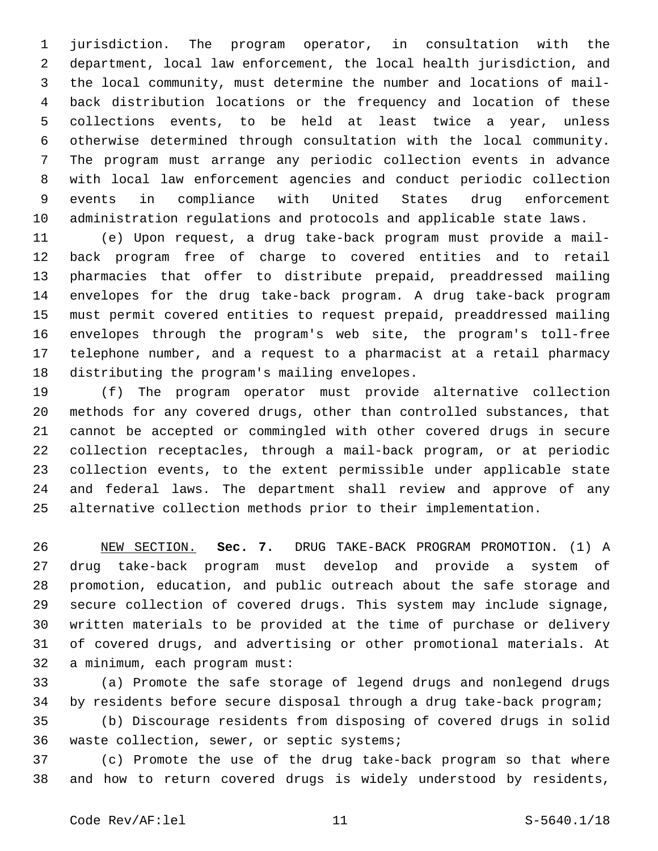jurisdiction. The program operator, in consultation with the department, local law enforcement, the local health jurisdiction, and the local community, must determine the number and locations of mail- back distribution locations or the frequency and location of these collections events, to be held at least twice a year, unless otherwise determined through consultation with the local community. The program must arrange any periodic collection events in advance with local law enforcement agencies and conduct periodic collection events in compliance with United States drug enforcement administration regulations and protocols and applicable state laws.

 (e) Upon request, a drug take-back program must provide a mail- back program free of charge to covered entities and to retail pharmacies that offer to distribute prepaid, preaddressed mailing envelopes for the drug take-back program. A drug take-back program must permit covered entities to request prepaid, preaddressed mailing envelopes through the program's web site, the program's toll-free telephone number, and a request to a pharmacist at a retail pharmacy 18 distributing the program's mailing envelopes.

 (f) The program operator must provide alternative collection methods for any covered drugs, other than controlled substances, that cannot be accepted or commingled with other covered drugs in secure collection receptacles, through a mail-back program, or at periodic collection events, to the extent permissible under applicable state and federal laws. The department shall review and approve of any alternative collection methods prior to their implementation.

 NEW SECTION. **Sec. 7.** DRUG TAKE-BACK PROGRAM PROMOTION. (1) A drug take-back program must develop and provide a system of promotion, education, and public outreach about the safe storage and secure collection of covered drugs. This system may include signage, written materials to be provided at the time of purchase or delivery of covered drugs, and advertising or other promotional materials. At a minimum, each program must:

 (a) Promote the safe storage of legend drugs and nonlegend drugs by residents before secure disposal through a drug take-back program;

 (b) Discourage residents from disposing of covered drugs in solid 36 waste collection, sewer, or septic systems;

 (c) Promote the use of the drug take-back program so that where and how to return covered drugs is widely understood by residents,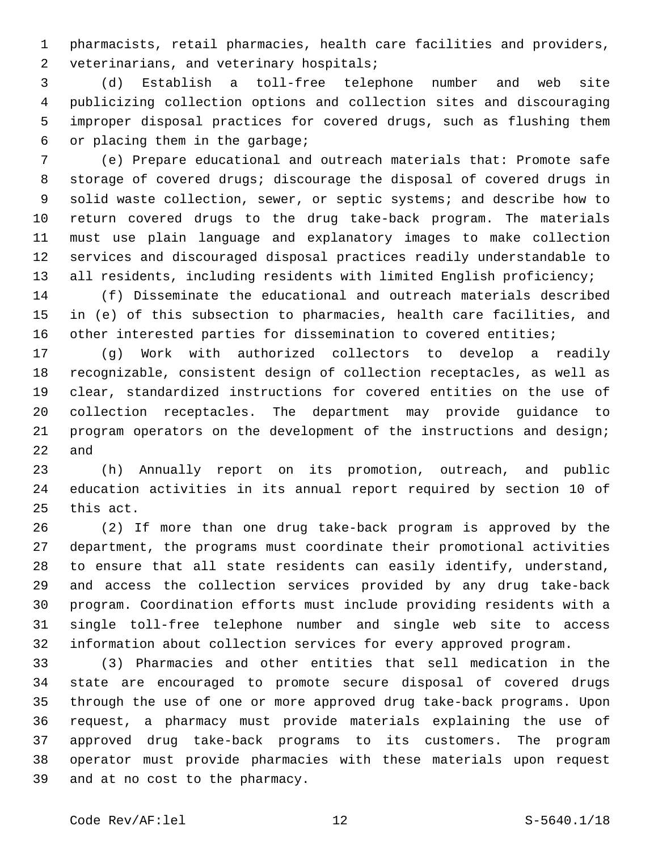pharmacists, retail pharmacies, health care facilities and providers, 2 veterinarians, and veterinary hospitals;

 (d) Establish a toll-free telephone number and web site publicizing collection options and collection sites and discouraging improper disposal practices for covered drugs, such as flushing them or placing them in the garbage;6

 (e) Prepare educational and outreach materials that: Promote safe storage of covered drugs; discourage the disposal of covered drugs in solid waste collection, sewer, or septic systems; and describe how to return covered drugs to the drug take-back program. The materials must use plain language and explanatory images to make collection services and discouraged disposal practices readily understandable to 13 all residents, including residents with limited English proficiency;

 (f) Disseminate the educational and outreach materials described in (e) of this subsection to pharmacies, health care facilities, and 16 other interested parties for dissemination to covered entities;

 (g) Work with authorized collectors to develop a readily recognizable, consistent design of collection receptacles, as well as clear, standardized instructions for covered entities on the use of collection receptacles. The department may provide guidance to program operators on the development of the instructions and design; and

 (h) Annually report on its promotion, outreach, and public education activities in its annual report required by section 10 of 25 this act.

 (2) If more than one drug take-back program is approved by the department, the programs must coordinate their promotional activities to ensure that all state residents can easily identify, understand, and access the collection services provided by any drug take-back program. Coordination efforts must include providing residents with a single toll-free telephone number and single web site to access information about collection services for every approved program.

 (3) Pharmacies and other entities that sell medication in the state are encouraged to promote secure disposal of covered drugs through the use of one or more approved drug take-back programs. Upon request, a pharmacy must provide materials explaining the use of approved drug take-back programs to its customers. The program operator must provide pharmacies with these materials upon request 39 and at no cost to the pharmacy.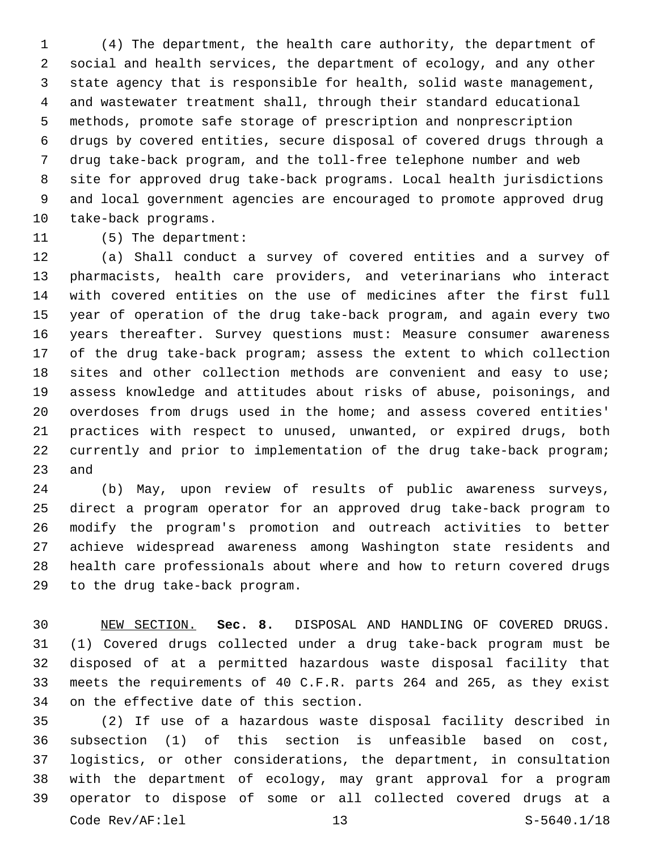(4) The department, the health care authority, the department of social and health services, the department of ecology, and any other state agency that is responsible for health, solid waste management, and wastewater treatment shall, through their standard educational methods, promote safe storage of prescription and nonprescription drugs by covered entities, secure disposal of covered drugs through a drug take-back program, and the toll-free telephone number and web site for approved drug take-back programs. Local health jurisdictions and local government agencies are encouraged to promote approved drug 10 take-back programs.

## 11 (5) The department:

 (a) Shall conduct a survey of covered entities and a survey of pharmacists, health care providers, and veterinarians who interact with covered entities on the use of medicines after the first full year of operation of the drug take-back program, and again every two years thereafter. Survey questions must: Measure consumer awareness of the drug take-back program; assess the extent to which collection 18 sites and other collection methods are convenient and easy to use; assess knowledge and attitudes about risks of abuse, poisonings, and overdoses from drugs used in the home; and assess covered entities' practices with respect to unused, unwanted, or expired drugs, both currently and prior to implementation of the drug take-back program; 23 and

 (b) May, upon review of results of public awareness surveys, direct a program operator for an approved drug take-back program to modify the program's promotion and outreach activities to better achieve widespread awareness among Washington state residents and health care professionals about where and how to return covered drugs 29 to the drug take-back program.

 NEW SECTION. **Sec. 8.** DISPOSAL AND HANDLING OF COVERED DRUGS. (1) Covered drugs collected under a drug take-back program must be disposed of at a permitted hazardous waste disposal facility that meets the requirements of 40 C.F.R. parts 264 and 265, as they exist on the effective date of this section.

 (2) If use of a hazardous waste disposal facility described in subsection (1) of this section is unfeasible based on cost, logistics, or other considerations, the department, in consultation with the department of ecology, may grant approval for a program operator to dispose of some or all collected covered drugs at a Code Rev/AF:lel 13 S-5640.1/18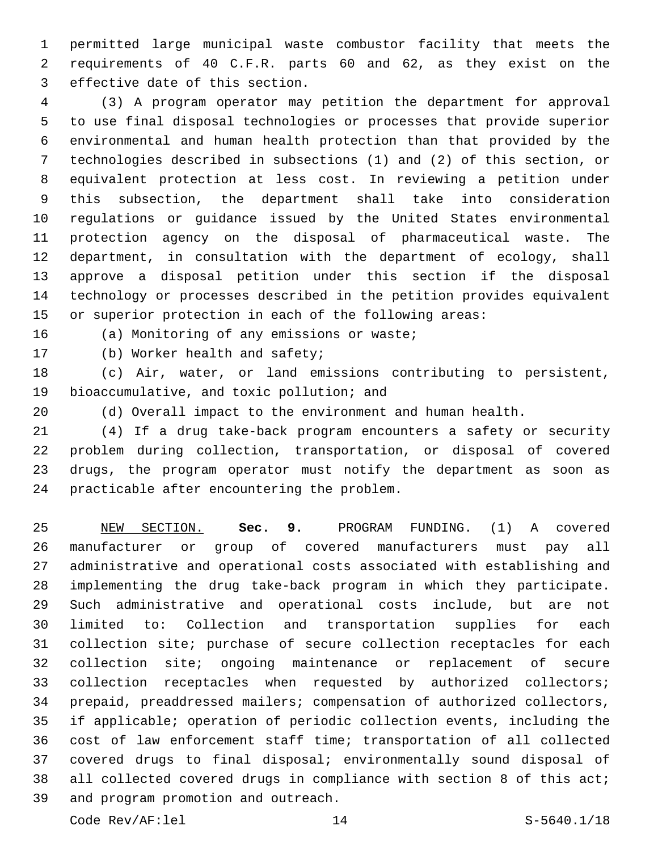permitted large municipal waste combustor facility that meets the requirements of 40 C.F.R. parts 60 and 62, as they exist on the 3 effective date of this section.

 (3) A program operator may petition the department for approval to use final disposal technologies or processes that provide superior environmental and human health protection than that provided by the technologies described in subsections (1) and (2) of this section, or equivalent protection at less cost. In reviewing a petition under this subsection, the department shall take into consideration regulations or guidance issued by the United States environmental protection agency on the disposal of pharmaceutical waste. The department, in consultation with the department of ecology, shall approve a disposal petition under this section if the disposal technology or processes described in the petition provides equivalent or superior protection in each of the following areas:

16 (a) Monitoring of any emissions or waste;

17 (b) Worker health and safety;

 (c) Air, water, or land emissions contributing to persistent, 19 bioaccumulative, and toxic pollution; and

(d) Overall impact to the environment and human health.

 (4) If a drug take-back program encounters a safety or security problem during collection, transportation, or disposal of covered drugs, the program operator must notify the department as soon as 24 practicable after encountering the problem.

 NEW SECTION. **Sec. 9.** PROGRAM FUNDING. (1) A covered manufacturer or group of covered manufacturers must pay all administrative and operational costs associated with establishing and implementing the drug take-back program in which they participate. Such administrative and operational costs include, but are not limited to: Collection and transportation supplies for each collection site; purchase of secure collection receptacles for each collection site; ongoing maintenance or replacement of secure collection receptacles when requested by authorized collectors; prepaid, preaddressed mailers; compensation of authorized collectors, if applicable; operation of periodic collection events, including the cost of law enforcement staff time; transportation of all collected covered drugs to final disposal; environmentally sound disposal of 38 all collected covered drugs in compliance with section 8 of this act; and program promotion and outreach.

Code Rev/AF:lel 14 S-5640.1/18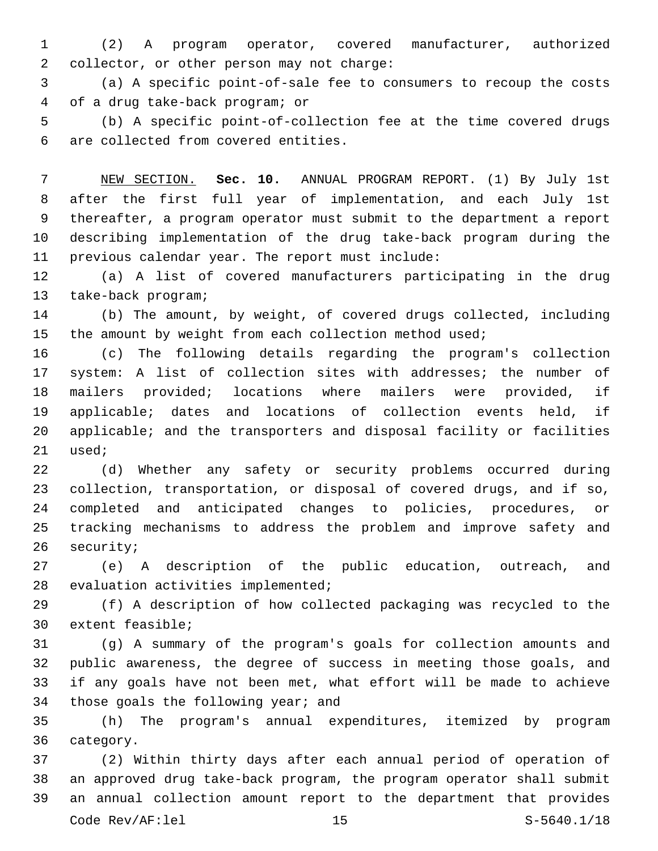(2) A program operator, covered manufacturer, authorized 2 collector, or other person may not charge:

 (a) A specific point-of-sale fee to consumers to recoup the costs of a drug take-back program; or4

 (b) A specific point-of-collection fee at the time covered drugs 6 are collected from covered entities.

 NEW SECTION. **Sec. 10.** ANNUAL PROGRAM REPORT. (1) By July 1st after the first full year of implementation, and each July 1st thereafter, a program operator must submit to the department a report describing implementation of the drug take-back program during the previous calendar year. The report must include:

 (a) A list of covered manufacturers participating in the drug 13 take-back program;

 (b) The amount, by weight, of covered drugs collected, including 15 the amount by weight from each collection method used;

 (c) The following details regarding the program's collection system: A list of collection sites with addresses; the number of mailers provided; locations where mailers were provided, if applicable; dates and locations of collection events held, if applicable; and the transporters and disposal facility or facilities used;

 (d) Whether any safety or security problems occurred during collection, transportation, or disposal of covered drugs, and if so, completed and anticipated changes to policies, procedures, or tracking mechanisms to address the problem and improve safety and 26 security;

 (e) A description of the public education, outreach, and 28 evaluation activities implemented;

 (f) A description of how collected packaging was recycled to the 30 extent feasible;

 (g) A summary of the program's goals for collection amounts and public awareness, the degree of success in meeting those goals, and if any goals have not been met, what effort will be made to achieve 34 those goals the following year; and

 (h) The program's annual expenditures, itemized by program 36 category.

 (2) Within thirty days after each annual period of operation of an approved drug take-back program, the program operator shall submit an annual collection amount report to the department that provides Code Rev/AF:lel 15 S-5640.1/18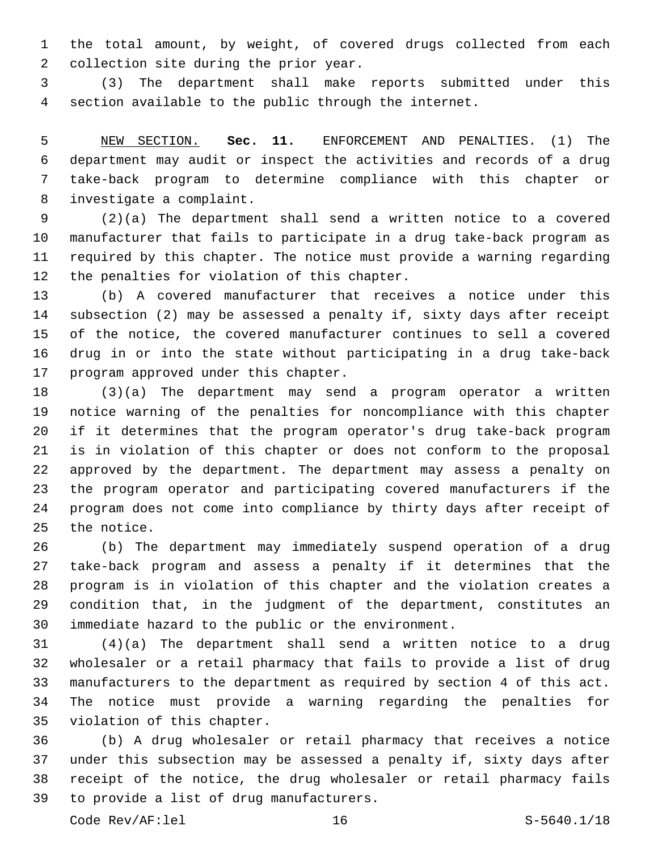the total amount, by weight, of covered drugs collected from each 2 collection site during the prior year.

 (3) The department shall make reports submitted under this section available to the public through the internet.

 NEW SECTION. **Sec. 11.** ENFORCEMENT AND PENALTIES. (1) The department may audit or inspect the activities and records of a drug take-back program to determine compliance with this chapter or investigate a complaint.

 (2)(a) The department shall send a written notice to a covered manufacturer that fails to participate in a drug take-back program as required by this chapter. The notice must provide a warning regarding 12 the penalties for violation of this chapter.

 (b) A covered manufacturer that receives a notice under this subsection (2) may be assessed a penalty if, sixty days after receipt of the notice, the covered manufacturer continues to sell a covered drug in or into the state without participating in a drug take-back 17 program approved under this chapter.

 (3)(a) The department may send a program operator a written notice warning of the penalties for noncompliance with this chapter if it determines that the program operator's drug take-back program is in violation of this chapter or does not conform to the proposal approved by the department. The department may assess a penalty on the program operator and participating covered manufacturers if the program does not come into compliance by thirty days after receipt of 25 the notice.

 (b) The department may immediately suspend operation of a drug take-back program and assess a penalty if it determines that the program is in violation of this chapter and the violation creates a condition that, in the judgment of the department, constitutes an immediate hazard to the public or the environment.

 (4)(a) The department shall send a written notice to a drug wholesaler or a retail pharmacy that fails to provide a list of drug manufacturers to the department as required by section 4 of this act. The notice must provide a warning regarding the penalties for 35 violation of this chapter.

 (b) A drug wholesaler or retail pharmacy that receives a notice under this subsection may be assessed a penalty if, sixty days after receipt of the notice, the drug wholesaler or retail pharmacy fails 39 to provide a list of drug manufacturers.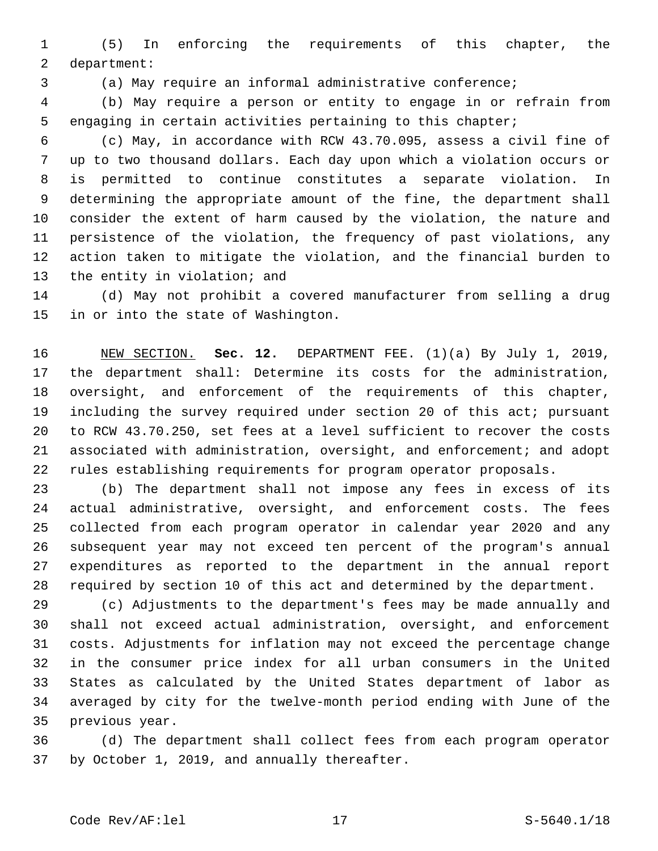(5) In enforcing the requirements of this chapter, the 2 department:

(a) May require an informal administrative conference;

 (b) May require a person or entity to engage in or refrain from engaging in certain activities pertaining to this chapter;

 (c) May, in accordance with RCW 43.70.095, assess a civil fine of up to two thousand dollars. Each day upon which a violation occurs or is permitted to continue constitutes a separate violation. In determining the appropriate amount of the fine, the department shall consider the extent of harm caused by the violation, the nature and persistence of the violation, the frequency of past violations, any action taken to mitigate the violation, and the financial burden to 13 the entity in violation; and

 (d) May not prohibit a covered manufacturer from selling a drug 15 in or into the state of Washington.

 NEW SECTION. **Sec. 12.** DEPARTMENT FEE. (1)(a) By July 1, 2019, the department shall: Determine its costs for the administration, oversight, and enforcement of the requirements of this chapter, including the survey required under section 20 of this act; pursuant to RCW 43.70.250, set fees at a level sufficient to recover the costs associated with administration, oversight, and enforcement; and adopt rules establishing requirements for program operator proposals.

 (b) The department shall not impose any fees in excess of its actual administrative, oversight, and enforcement costs. The fees collected from each program operator in calendar year 2020 and any subsequent year may not exceed ten percent of the program's annual expenditures as reported to the department in the annual report required by section 10 of this act and determined by the department.

 (c) Adjustments to the department's fees may be made annually and shall not exceed actual administration, oversight, and enforcement costs. Adjustments for inflation may not exceed the percentage change in the consumer price index for all urban consumers in the United States as calculated by the United States department of labor as averaged by city for the twelve-month period ending with June of the 35 previous year.

 (d) The department shall collect fees from each program operator 37 by October 1, 2019, and annually thereafter.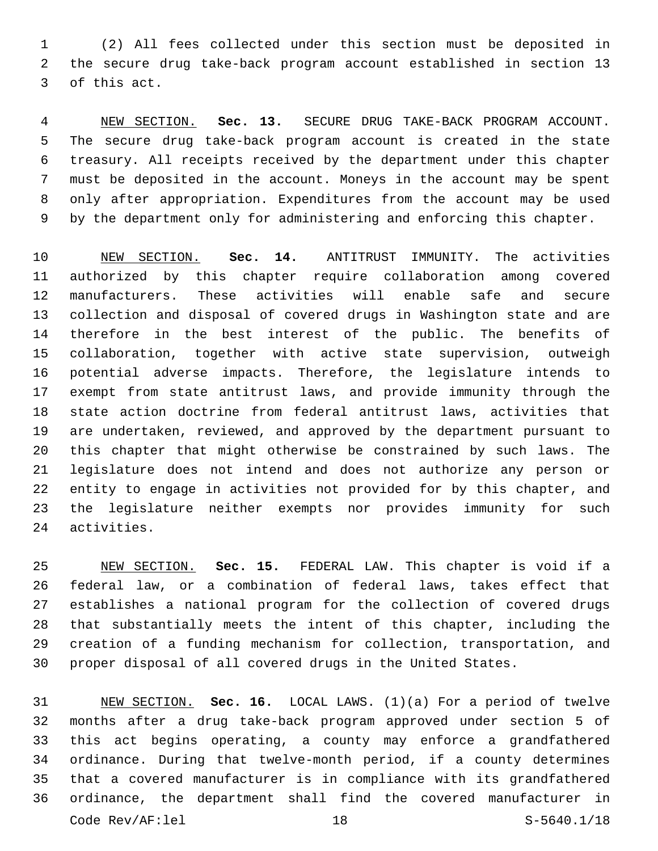(2) All fees collected under this section must be deposited in the secure drug take-back program account established in section 13 3 of this act.

 NEW SECTION. **Sec. 13.** SECURE DRUG TAKE-BACK PROGRAM ACCOUNT. The secure drug take-back program account is created in the state treasury. All receipts received by the department under this chapter must be deposited in the account. Moneys in the account may be spent only after appropriation. Expenditures from the account may be used by the department only for administering and enforcing this chapter.

 NEW SECTION. **Sec. 14.** ANTITRUST IMMUNITY. The activities authorized by this chapter require collaboration among covered manufacturers. These activities will enable safe and secure collection and disposal of covered drugs in Washington state and are therefore in the best interest of the public. The benefits of collaboration, together with active state supervision, outweigh potential adverse impacts. Therefore, the legislature intends to exempt from state antitrust laws, and provide immunity through the state action doctrine from federal antitrust laws, activities that are undertaken, reviewed, and approved by the department pursuant to this chapter that might otherwise be constrained by such laws. The legislature does not intend and does not authorize any person or entity to engage in activities not provided for by this chapter, and the legislature neither exempts nor provides immunity for such activities.

 NEW SECTION. **Sec. 15.** FEDERAL LAW. This chapter is void if a federal law, or a combination of federal laws, takes effect that establishes a national program for the collection of covered drugs that substantially meets the intent of this chapter, including the creation of a funding mechanism for collection, transportation, and proper disposal of all covered drugs in the United States.

 NEW SECTION. **Sec. 16.** LOCAL LAWS. (1)(a) For a period of twelve months after a drug take-back program approved under section 5 of this act begins operating, a county may enforce a grandfathered ordinance. During that twelve-month period, if a county determines that a covered manufacturer is in compliance with its grandfathered ordinance, the department shall find the covered manufacturer in Code Rev/AF:lel 18 S-5640.1/18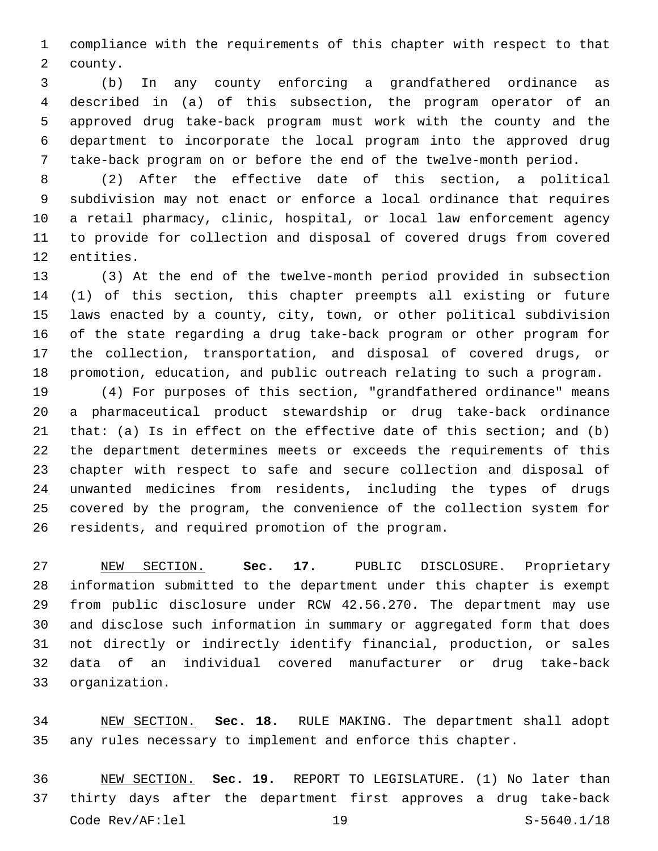compliance with the requirements of this chapter with respect to that 2 county.

 (b) In any county enforcing a grandfathered ordinance as described in (a) of this subsection, the program operator of an approved drug take-back program must work with the county and the department to incorporate the local program into the approved drug take-back program on or before the end of the twelve-month period.

 (2) After the effective date of this section, a political subdivision may not enact or enforce a local ordinance that requires a retail pharmacy, clinic, hospital, or local law enforcement agency to provide for collection and disposal of covered drugs from covered 12 entities.

 (3) At the end of the twelve-month period provided in subsection (1) of this section, this chapter preempts all existing or future laws enacted by a county, city, town, or other political subdivision of the state regarding a drug take-back program or other program for the collection, transportation, and disposal of covered drugs, or promotion, education, and public outreach relating to such a program.

 (4) For purposes of this section, "grandfathered ordinance" means a pharmaceutical product stewardship or drug take-back ordinance that: (a) Is in effect on the effective date of this section; and (b) the department determines meets or exceeds the requirements of this chapter with respect to safe and secure collection and disposal of unwanted medicines from residents, including the types of drugs covered by the program, the convenience of the collection system for 26 residents, and required promotion of the program.

 NEW SECTION. **Sec. 17.** PUBLIC DISCLOSURE. Proprietary information submitted to the department under this chapter is exempt from public disclosure under RCW 42.56.270. The department may use and disclose such information in summary or aggregated form that does not directly or indirectly identify financial, production, or sales data of an individual covered manufacturer or drug take-back organization.

 NEW SECTION. **Sec. 18.** RULE MAKING. The department shall adopt any rules necessary to implement and enforce this chapter.

 NEW SECTION. **Sec. 19.** REPORT TO LEGISLATURE. (1) No later than thirty days after the department first approves a drug take-back Code Rev/AF:lel 19 S-5640.1/18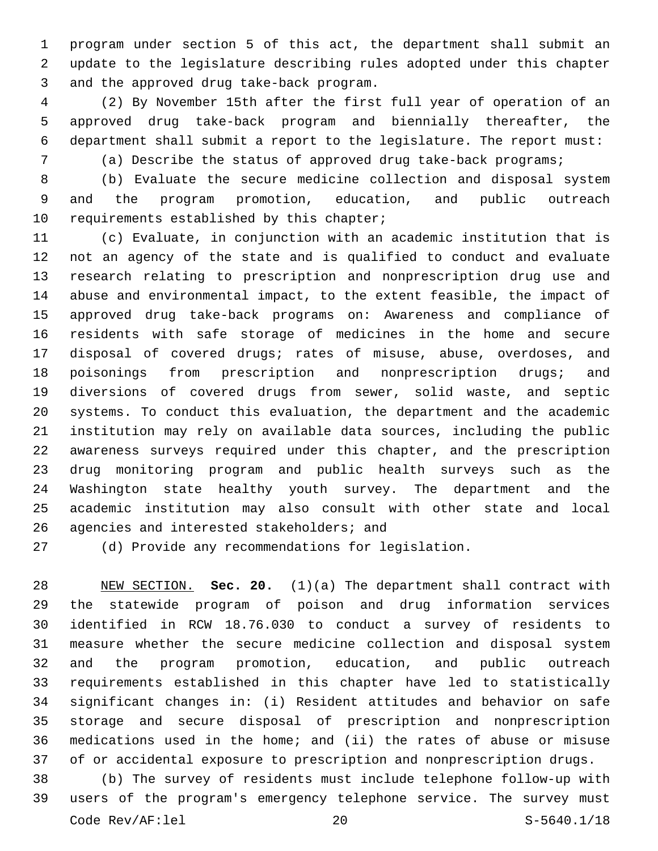program under section 5 of this act, the department shall submit an update to the legislature describing rules adopted under this chapter 3 and the approved drug take-back program.

 (2) By November 15th after the first full year of operation of an approved drug take-back program and biennially thereafter, the department shall submit a report to the legislature. The report must:

(a) Describe the status of approved drug take-back programs;

 (b) Evaluate the secure medicine collection and disposal system and the program promotion, education, and public outreach 10 requirements established by this chapter;

 (c) Evaluate, in conjunction with an academic institution that is not an agency of the state and is qualified to conduct and evaluate research relating to prescription and nonprescription drug use and abuse and environmental impact, to the extent feasible, the impact of approved drug take-back programs on: Awareness and compliance of residents with safe storage of medicines in the home and secure disposal of covered drugs; rates of misuse, abuse, overdoses, and poisonings from prescription and nonprescription drugs; and diversions of covered drugs from sewer, solid waste, and septic systems. To conduct this evaluation, the department and the academic institution may rely on available data sources, including the public awareness surveys required under this chapter, and the prescription drug monitoring program and public health surveys such as the Washington state healthy youth survey. The department and the academic institution may also consult with other state and local 26 agencies and interested stakeholders; and

(d) Provide any recommendations for legislation.

 NEW SECTION. **Sec. 20.** (1)(a) The department shall contract with the statewide program of poison and drug information services identified in RCW 18.76.030 to conduct a survey of residents to measure whether the secure medicine collection and disposal system and the program promotion, education, and public outreach requirements established in this chapter have led to statistically significant changes in: (i) Resident attitudes and behavior on safe storage and secure disposal of prescription and nonprescription medications used in the home; and (ii) the rates of abuse or misuse of or accidental exposure to prescription and nonprescription drugs.

 (b) The survey of residents must include telephone follow-up with users of the program's emergency telephone service. The survey must Code Rev/AF:lel 20 S-5640.1/18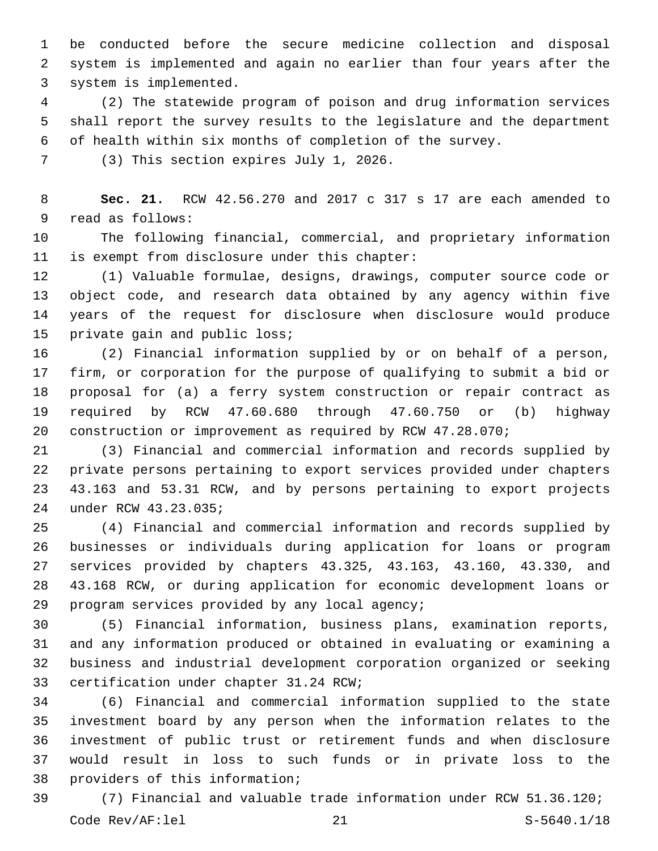be conducted before the secure medicine collection and disposal system is implemented and again no earlier than four years after the 3 system is implemented.

 (2) The statewide program of poison and drug information services shall report the survey results to the legislature and the department of health within six months of completion of the survey.

7 (3) This section expires July 1, 2026.

 **Sec. 21.** RCW 42.56.270 and 2017 c 317 s 17 are each amended to 9 read as follows:

 The following financial, commercial, and proprietary information 11 is exempt from disclosure under this chapter:

 (1) Valuable formulae, designs, drawings, computer source code or object code, and research data obtained by any agency within five years of the request for disclosure when disclosure would produce 15 private gain and public loss;

 (2) Financial information supplied by or on behalf of a person, firm, or corporation for the purpose of qualifying to submit a bid or proposal for (a) a ferry system construction or repair contract as required by RCW 47.60.680 through 47.60.750 or (b) highway construction or improvement as required by RCW 47.28.070;

 (3) Financial and commercial information and records supplied by private persons pertaining to export services provided under chapters 43.163 and 53.31 RCW, and by persons pertaining to export projects under RCW 43.23.035;24

 (4) Financial and commercial information and records supplied by businesses or individuals during application for loans or program services provided by chapters 43.325, 43.163, 43.160, 43.330, and 43.168 RCW, or during application for economic development loans or program services provided by any local agency;

 (5) Financial information, business plans, examination reports, and any information produced or obtained in evaluating or examining a business and industrial development corporation organized or seeking 33 certification under chapter 31.24 RCW;

 (6) Financial and commercial information supplied to the state investment board by any person when the information relates to the investment of public trust or retirement funds and when disclosure would result in loss to such funds or in private loss to the 38 providers of this information;

 (7) Financial and valuable trade information under RCW 51.36.120; Code Rev/AF:lel 21 S-5640.1/18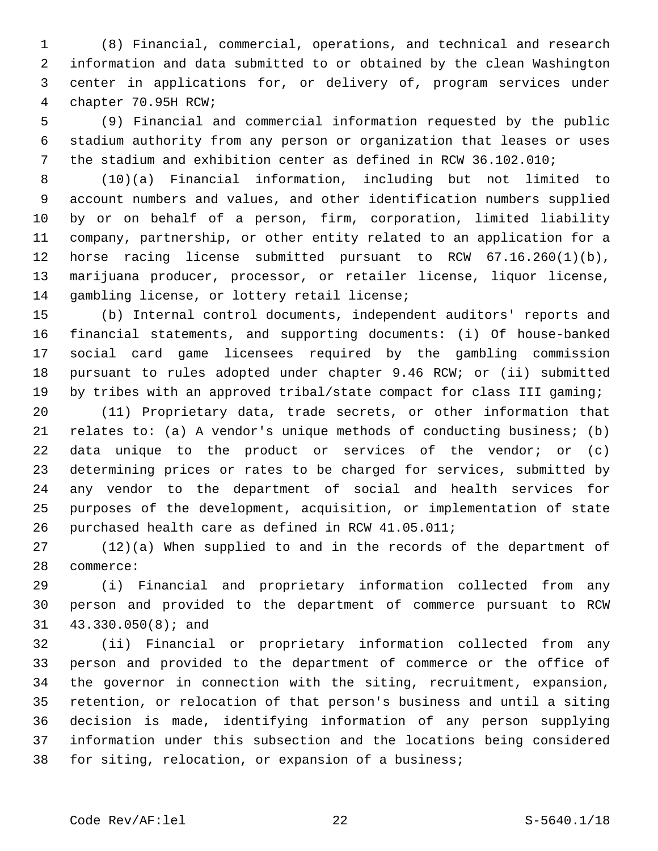(8) Financial, commercial, operations, and technical and research information and data submitted to or obtained by the clean Washington center in applications for, or delivery of, program services under 4 chapter 70.95H RCW;

 (9) Financial and commercial information requested by the public stadium authority from any person or organization that leases or uses the stadium and exhibition center as defined in RCW 36.102.010;

 (10)(a) Financial information, including but not limited to account numbers and values, and other identification numbers supplied by or on behalf of a person, firm, corporation, limited liability company, partnership, or other entity related to an application for a horse racing license submitted pursuant to RCW 67.16.260(1)(b), marijuana producer, processor, or retailer license, liquor license, 14 gambling license, or lottery retail license;

 (b) Internal control documents, independent auditors' reports and financial statements, and supporting documents: (i) Of house-banked social card game licensees required by the gambling commission pursuant to rules adopted under chapter 9.46 RCW; or (ii) submitted by tribes with an approved tribal/state compact for class III gaming;

 (11) Proprietary data, trade secrets, or other information that relates to: (a) A vendor's unique methods of conducting business; (b) data unique to the product or services of the vendor; or (c) determining prices or rates to be charged for services, submitted by any vendor to the department of social and health services for purposes of the development, acquisition, or implementation of state purchased health care as defined in RCW 41.05.011;

 (12)(a) When supplied to and in the records of the department of 28 commerce:

 (i) Financial and proprietary information collected from any person and provided to the department of commerce pursuant to RCW 31 43.330.050(8); and

 (ii) Financial or proprietary information collected from any person and provided to the department of commerce or the office of the governor in connection with the siting, recruitment, expansion, retention, or relocation of that person's business and until a siting decision is made, identifying information of any person supplying information under this subsection and the locations being considered for siting, relocation, or expansion of a business;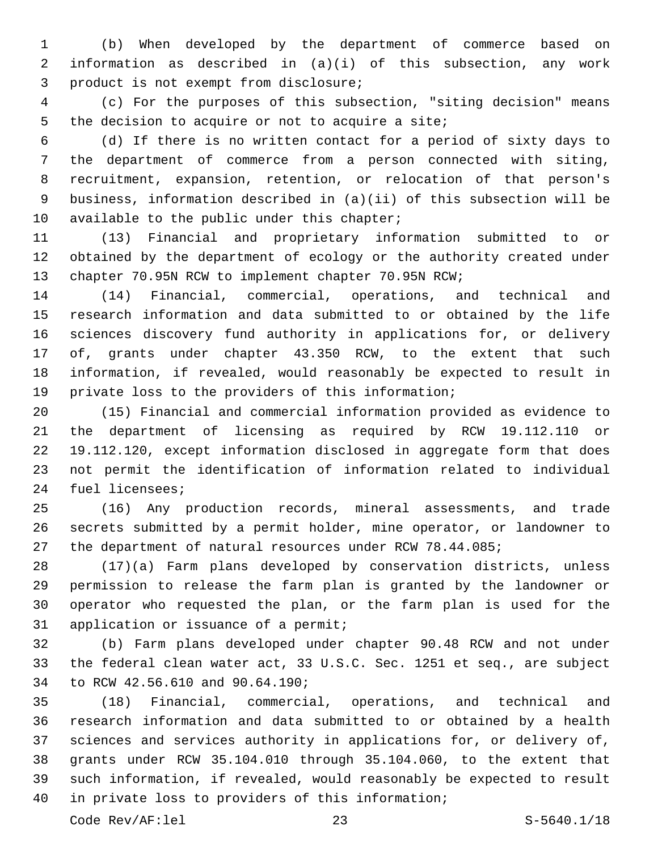(b) When developed by the department of commerce based on information as described in (a)(i) of this subsection, any work 3 product is not exempt from disclosure;

 (c) For the purposes of this subsection, "siting decision" means 5 the decision to acquire or not to acquire a site;

 (d) If there is no written contact for a period of sixty days to the department of commerce from a person connected with siting, recruitment, expansion, retention, or relocation of that person's business, information described in (a)(ii) of this subsection will be 10 available to the public under this chapter;

 (13) Financial and proprietary information submitted to or obtained by the department of ecology or the authority created under chapter 70.95N RCW to implement chapter 70.95N RCW;

 (14) Financial, commercial, operations, and technical and research information and data submitted to or obtained by the life sciences discovery fund authority in applications for, or delivery of, grants under chapter 43.350 RCW, to the extent that such information, if revealed, would reasonably be expected to result in private loss to the providers of this information;

 (15) Financial and commercial information provided as evidence to the department of licensing as required by RCW 19.112.110 or 19.112.120, except information disclosed in aggregate form that does not permit the identification of information related to individual 24 fuel licensees;

 (16) Any production records, mineral assessments, and trade secrets submitted by a permit holder, mine operator, or landowner to the department of natural resources under RCW 78.44.085;

 (17)(a) Farm plans developed by conservation districts, unless permission to release the farm plan is granted by the landowner or operator who requested the plan, or the farm plan is used for the 31 application or issuance of a permit;

 (b) Farm plans developed under chapter 90.48 RCW and not under the federal clean water act, 33 U.S.C. Sec. 1251 et seq., are subject to RCW 42.56.610 and 90.64.190;34

 (18) Financial, commercial, operations, and technical and research information and data submitted to or obtained by a health sciences and services authority in applications for, or delivery of, grants under RCW 35.104.010 through 35.104.060, to the extent that such information, if revealed, would reasonably be expected to result 40 in private loss to providers of this information;

Code Rev/AF:lel 23 S-5640.1/18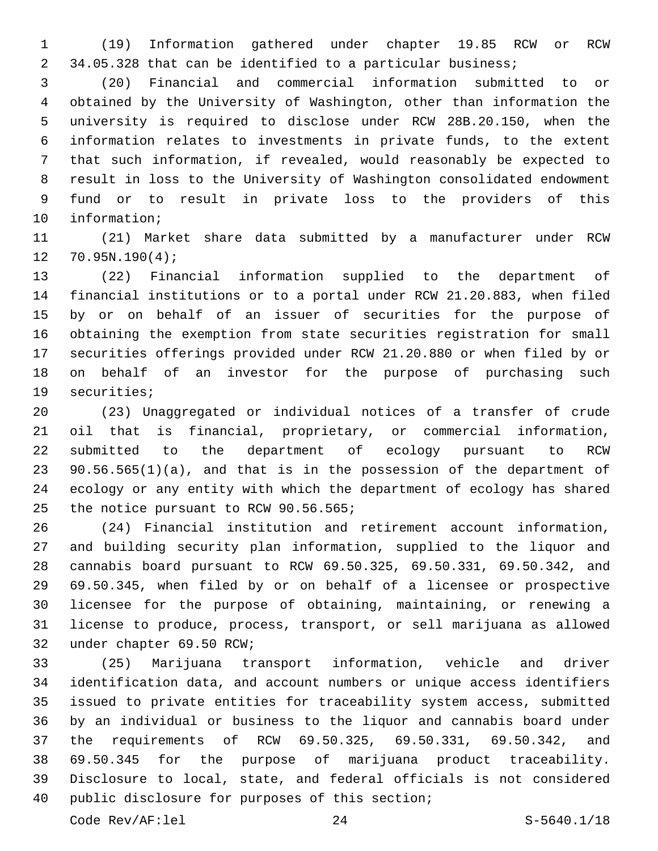(19) Information gathered under chapter 19.85 RCW or RCW 34.05.328 that can be identified to a particular business;

 (20) Financial and commercial information submitted to or obtained by the University of Washington, other than information the university is required to disclose under RCW 28B.20.150, when the information relates to investments in private funds, to the extent that such information, if revealed, would reasonably be expected to result in loss to the University of Washington consolidated endowment fund or to result in private loss to the providers of this 10 information;

 (21) Market share data submitted by a manufacturer under RCW  $12 \quad 70.95N.190(4);$ 

 (22) Financial information supplied to the department of financial institutions or to a portal under RCW 21.20.883, when filed by or on behalf of an issuer of securities for the purpose of obtaining the exemption from state securities registration for small securities offerings provided under RCW 21.20.880 or when filed by or on behalf of an investor for the purpose of purchasing such 19 securities;

 (23) Unaggregated or individual notices of a transfer of crude oil that is financial, proprietary, or commercial information, submitted to the department of ecology pursuant to RCW 90.56.565(1)(a), and that is in the possession of the department of ecology or any entity with which the department of ecology has shared 25 the notice pursuant to RCW 90.56.565;

 (24) Financial institution and retirement account information, and building security plan information, supplied to the liquor and cannabis board pursuant to RCW 69.50.325, 69.50.331, 69.50.342, and 69.50.345, when filed by or on behalf of a licensee or prospective licensee for the purpose of obtaining, maintaining, or renewing a license to produce, process, transport, or sell marijuana as allowed 32 under chapter 69.50 RCW;

 (25) Marijuana transport information, vehicle and driver identification data, and account numbers or unique access identifiers issued to private entities for traceability system access, submitted by an individual or business to the liquor and cannabis board under the requirements of RCW 69.50.325, 69.50.331, 69.50.342, and 69.50.345 for the purpose of marijuana product traceability. Disclosure to local, state, and federal officials is not considered 40 public disclosure for purposes of this section;

Code Rev/AF:lel 24 S-5640.1/18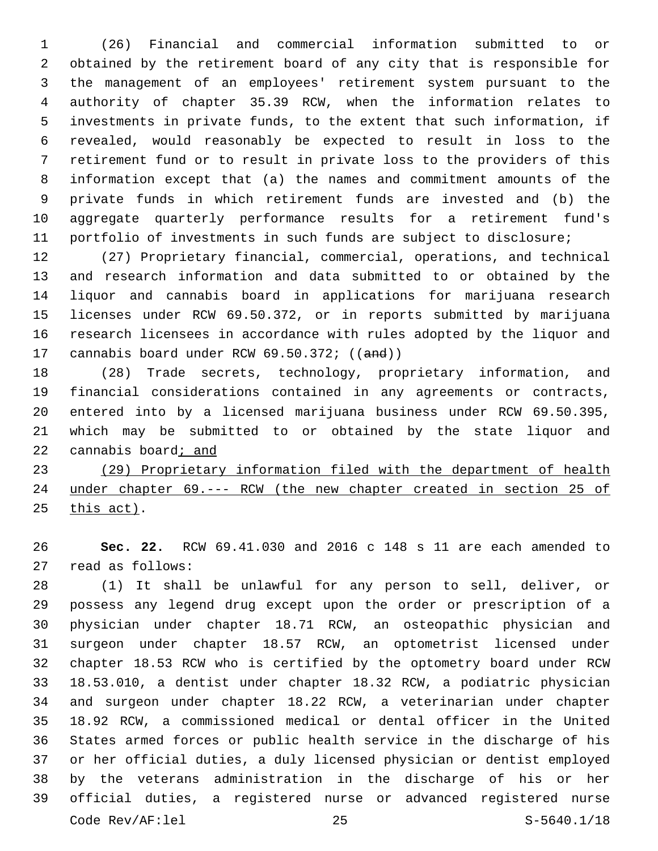(26) Financial and commercial information submitted to or obtained by the retirement board of any city that is responsible for the management of an employees' retirement system pursuant to the authority of chapter 35.39 RCW, when the information relates to investments in private funds, to the extent that such information, if revealed, would reasonably be expected to result in loss to the retirement fund or to result in private loss to the providers of this information except that (a) the names and commitment amounts of the private funds in which retirement funds are invested and (b) the aggregate quarterly performance results for a retirement fund's portfolio of investments in such funds are subject to disclosure;

 (27) Proprietary financial, commercial, operations, and technical and research information and data submitted to or obtained by the liquor and cannabis board in applications for marijuana research licenses under RCW 69.50.372, or in reports submitted by marijuana research licensees in accordance with rules adopted by the liquor and 17 cannabis board under RCW 69.50.372; ((and))

 (28) Trade secrets, technology, proprietary information, and financial considerations contained in any agreements or contracts, entered into by a licensed marijuana business under RCW 69.50.395, which may be submitted to or obtained by the state liquor and cannabis board; and

 (29) Proprietary information filed with the department of health under chapter 69.--- RCW (the new chapter created in section 25 of this act).

 **Sec. 22.** RCW 69.41.030 and 2016 c 148 s 11 are each amended to 27 read as follows:

 (1) It shall be unlawful for any person to sell, deliver, or possess any legend drug except upon the order or prescription of a physician under chapter 18.71 RCW, an osteopathic physician and surgeon under chapter 18.57 RCW, an optometrist licensed under chapter 18.53 RCW who is certified by the optometry board under RCW 18.53.010, a dentist under chapter 18.32 RCW, a podiatric physician and surgeon under chapter 18.22 RCW, a veterinarian under chapter 18.92 RCW, a commissioned medical or dental officer in the United States armed forces or public health service in the discharge of his or her official duties, a duly licensed physician or dentist employed by the veterans administration in the discharge of his or her official duties, a registered nurse or advanced registered nurse Code Rev/AF:lel 25 S-5640.1/18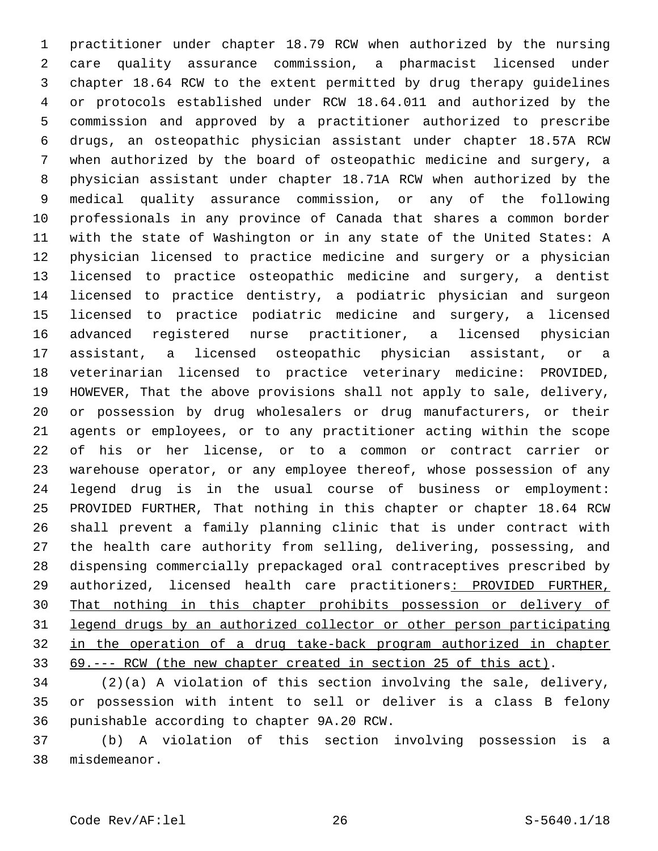practitioner under chapter 18.79 RCW when authorized by the nursing care quality assurance commission, a pharmacist licensed under chapter 18.64 RCW to the extent permitted by drug therapy guidelines or protocols established under RCW 18.64.011 and authorized by the commission and approved by a practitioner authorized to prescribe drugs, an osteopathic physician assistant under chapter 18.57A RCW when authorized by the board of osteopathic medicine and surgery, a physician assistant under chapter 18.71A RCW when authorized by the medical quality assurance commission, or any of the following professionals in any province of Canada that shares a common border with the state of Washington or in any state of the United States: A physician licensed to practice medicine and surgery or a physician licensed to practice osteopathic medicine and surgery, a dentist licensed to practice dentistry, a podiatric physician and surgeon licensed to practice podiatric medicine and surgery, a licensed advanced registered nurse practitioner, a licensed physician assistant, a licensed osteopathic physician assistant, or a veterinarian licensed to practice veterinary medicine: PROVIDED, HOWEVER, That the above provisions shall not apply to sale, delivery, or possession by drug wholesalers or drug manufacturers, or their agents or employees, or to any practitioner acting within the scope of his or her license, or to a common or contract carrier or warehouse operator, or any employee thereof, whose possession of any legend drug is in the usual course of business or employment: PROVIDED FURTHER, That nothing in this chapter or chapter 18.64 RCW shall prevent a family planning clinic that is under contract with the health care authority from selling, delivering, possessing, and dispensing commercially prepackaged oral contraceptives prescribed by 29 authorized, licensed health care practitioners: PROVIDED FURTHER, That nothing in this chapter prohibits possession or delivery of legend drugs by an authorized collector or other person participating in the operation of a drug take-back program authorized in chapter 69.--- RCW (the new chapter created in section 25 of this act).

 (2)(a) A violation of this section involving the sale, delivery, or possession with intent to sell or deliver is a class B felony 36 punishable according to chapter 9A.20 RCW.

 (b) A violation of this section involving possession is a 38 misdemeanor.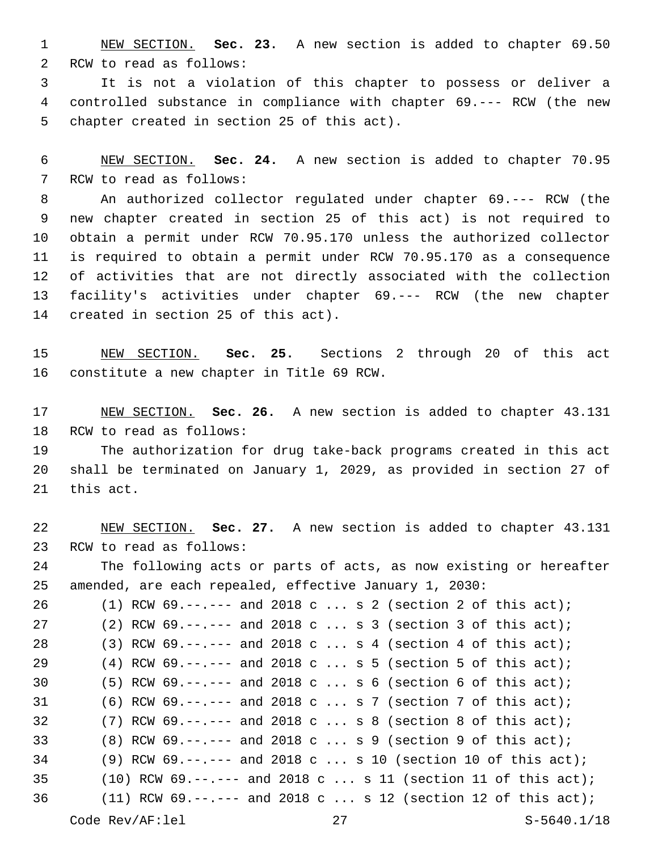NEW SECTION. **Sec. 23.** A new section is added to chapter 69.50 2 RCW to read as follows:

 It is not a violation of this chapter to possess or deliver a controlled substance in compliance with chapter 69.--- RCW (the new 5 chapter created in section 25 of this act).

 NEW SECTION. **Sec. 24.** A new section is added to chapter 70.95 7 RCW to read as follows:

 An authorized collector regulated under chapter 69.--- RCW (the new chapter created in section 25 of this act) is not required to obtain a permit under RCW 70.95.170 unless the authorized collector is required to obtain a permit under RCW 70.95.170 as a consequence of activities that are not directly associated with the collection facility's activities under chapter 69.--- RCW (the new chapter 14 created in section 25 of this act).

 NEW SECTION. **Sec. 25.** Sections 2 through 20 of this act constitute a new chapter in Title 69 RCW.

 NEW SECTION. **Sec. 26.** A new section is added to chapter 43.131 18 RCW to read as follows:

 The authorization for drug take-back programs created in this act shall be terminated on January 1, 2029, as provided in section 27 of 21 this act.

 NEW SECTION. **Sec. 27.** A new section is added to chapter 43.131 23 RCW to read as follows: The following acts or parts of acts, as now existing or hereafter amended, are each repealed, effective January 1, 2030: (1) RCW 69.--.--- and 2018 c ... s 2 (section 2 of this act); (2) RCW 69.--.--- and 2018 c ... s 3 (section 3 of this act); 28 (3) RCW 69.--.--- and 2018 c ... s 4 (section 4 of this act); (4) RCW 69.--.--- and 2018 c ... s 5 (section 5 of this act); (5) RCW 69.--.--- and 2018 c ... s 6 (section 6 of this act); (6) RCW 69.--.--- and 2018 c ... s 7 (section 7 of this act); (7) RCW 69.--.--- and 2018 c ... s 8 (section 8 of this act); (8) RCW 69.--.--- and 2018 c ... s 9 (section 9 of this act); (9) RCW 69.--.--- and 2018 c ... s 10 (section 10 of this act); 35 (10) RCW  $69. -- ---$  and  $2018$  c ... s 11 (section 11 of this act); (11) RCW 69.--.--- and 2018 c ... s 12 (section 12 of this act); Code Rev/AF:lel 27 S-5640.1/18